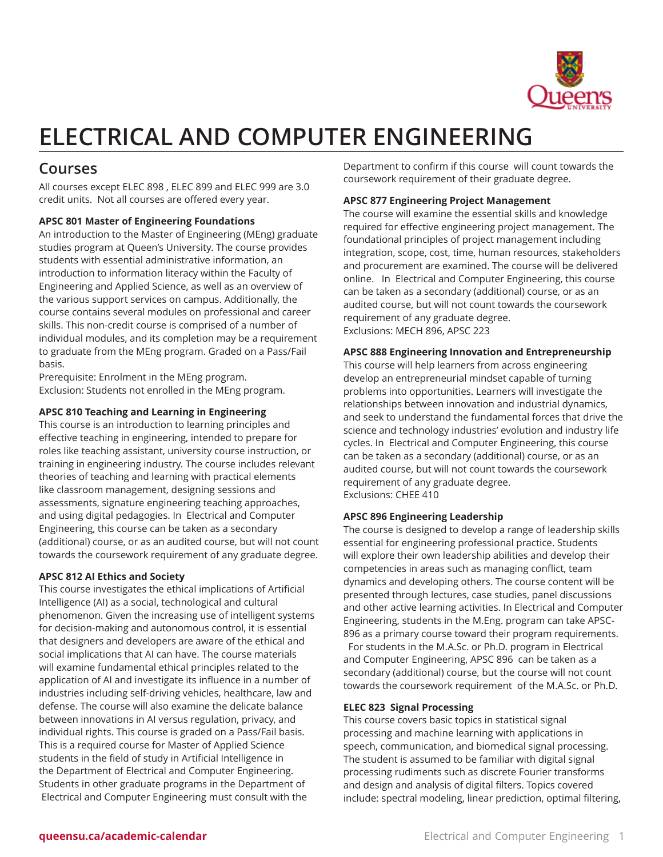

# **ELECTRICAL AND COMPUTER ENGINEERING**

# **Courses**

All courses except ELEC 898 , ELEC 899 and ELEC 999 are 3.0 credit units. Not all courses are offered every year.

# **APSC 801 Master of Engineering Foundations**

An introduction to the Master of Engineering (MEng) graduate studies program at Queen's University. The course provides students with essential administrative information, an introduction to information literacy within the Faculty of Engineering and Applied Science, as well as an overview of the various support services on campus. Additionally, the course contains several modules on professional and career skills. This non-credit course is comprised of a number of individual modules, and its completion may be a requirement to graduate from the MEng program. Graded on a Pass/Fail basis.

Prerequisite: Enrolment in the MEng program. Exclusion: Students not enrolled in the MEng program.

# **APSC 810 Teaching and Learning in Engineering**

This course is an introduction to learning principles and effective teaching in engineering, intended to prepare for roles like teaching assistant, university course instruction, or training in engineering industry. The course includes relevant theories of teaching and learning with practical elements like classroom management, designing sessions and assessments, signature engineering teaching approaches, and using digital pedagogies. In Electrical and Computer Engineering, this course can be taken as a secondary (additional) course, or as an audited course, but will not count towards the coursework requirement of any graduate degree.

# **APSC 812 AI Ethics and Society**

This course investigates the ethical implications of Artificial Intelligence (AI) as a social, technological and cultural phenomenon. Given the increasing use of intelligent systems for decision-making and autonomous control, it is essential that designers and developers are aware of the ethical and social implications that AI can have. The course materials will examine fundamental ethical principles related to the application of AI and investigate its influence in a number of industries including self-driving vehicles, healthcare, law and defense. The course will also examine the delicate balance between innovations in AI versus regulation, privacy, and individual rights. This course is graded on a Pass/Fail basis. This is a required course for Master of Applied Science students in the field of study in Artificial Intelligence in the Department of Electrical and Computer Engineering. Students in other graduate programs in the Department of Electrical and Computer Engineering must consult with the

Department to confirm if this course will count towards the coursework requirement of their graduate degree.

# **APSC 877 Engineering Project Management**

The course will examine the essential skills and knowledge required for effective engineering project management. The foundational principles of project management including integration, scope, cost, time, human resources, stakeholders and procurement are examined. The course will be delivered online. In Electrical and Computer Engineering, this course can be taken as a secondary (additional) course, or as an audited course, but will not count towards the coursework requirement of any graduate degree. Exclusions: MECH 896, APSC 223

# **APSC 888 Engineering Innovation and Entrepreneurship**

This course will help learners from across engineering develop an entrepreneurial mindset capable of turning problems into opportunities. Learners will investigate the relationships between innovation and industrial dynamics, and seek to understand the fundamental forces that drive the science and technology industries' evolution and industry life cycles. In Electrical and Computer Engineering, this course can be taken as a secondary (additional) course, or as an audited course, but will not count towards the coursework requirement of any graduate degree. Exclusions: CHEE 410

# **APSC 896 Engineering Leadership**

The course is designed to develop a range of leadership skills essential for engineering professional practice. Students will explore their own leadership abilities and develop their competencies in areas such as managing conflict, team dynamics and developing others. The course content will be presented through lectures, case studies, panel discussions and other active learning activities. In Electrical and Computer Engineering, students in the M.Eng. program can take APSC-896 as a primary course toward their program requirements. For students in the M.A.Sc. or Ph.D. program in Electrical and Computer Engineering, APSC 896 can be taken as a secondary (additional) course, but the course will not count towards the coursework requirement of the M.A.Sc. or Ph.D.

# **ELEC 823 Signal Processing**

This course covers basic topics in statistical signal processing and machine learning with applications in speech, communication, and biomedical signal processing. The student is assumed to be familiar with digital signal processing rudiments such as discrete Fourier transforms and design and analysis of digital filters. Topics covered include: spectral modeling, linear prediction, optimal filtering,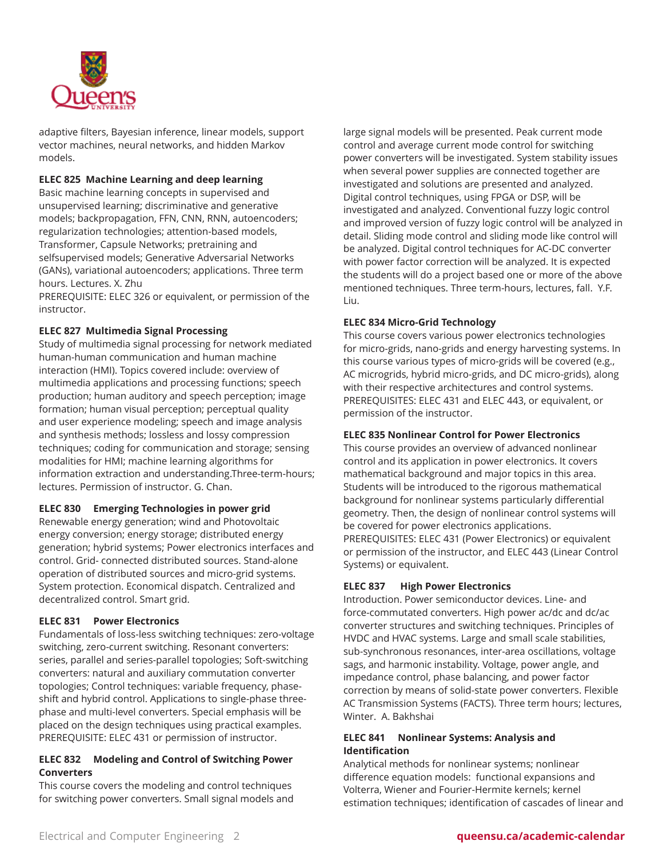

adaptive filters, Bayesian inference, linear models, support vector machines, neural networks, and hidden Markov models.

# **ELEC 825 Machine Learning and deep learning**

Basic machine learning concepts in supervised and unsupervised learning; discriminative and generative models; backpropagation, FFN, CNN, RNN, autoencoders; regularization technologies; attention-based models, Transformer, Capsule Networks; pretraining and selfsupervised models; Generative Adversarial Networks (GANs), variational autoencoders; applications. Three term hours. Lectures. X. Zhu

PREREQUISITE: ELEC 326 or equivalent, or permission of the instructor.

# **ELEC 827 Multimedia Signal Processing**

Study of multimedia signal processing for network mediated human-human communication and human machine interaction (HMI). Topics covered include: overview of multimedia applications and processing functions; speech production; human auditory and speech perception; image formation; human visual perception; perceptual quality and user experience modeling; speech and image analysis and synthesis methods; lossless and lossy compression techniques; coding for communication and storage; sensing modalities for HMI; machine learning algorithms for information extraction and understanding.Three-term-hours; lectures. Permission of instructor. G. Chan.

# **ELEC 830 Emerging Technologies in power grid**

Renewable energy generation; wind and Photovoltaic energy conversion; energy storage; distributed energy generation; hybrid systems; Power electronics interfaces and control. Grid- connected distributed sources. Stand-alone operation of distributed sources and micro-grid systems. System protection. Economical dispatch. Centralized and decentralized control. Smart grid.

# **ELEC 831 Power Electronics**

Fundamentals of loss-less switching techniques: zero-voltage switching, zero-current switching. Resonant converters: series, parallel and series-parallel topologies; Soft-switching converters: natural and auxiliary commutation converter topologies; Control techniques: variable frequency, phaseshift and hybrid control. Applications to single-phase threephase and multi-level converters. Special emphasis will be placed on the design techniques using practical examples. PREREQUISITE: ELEC 431 or permission of instructor.

# **ELEC 832 Modeling and Control of Switching Power Converters**

This course covers the modeling and control techniques for switching power converters. Small signal models and

large signal models will be presented. Peak current mode control and average current mode control for switching power converters will be investigated. System stability issues when several power supplies are connected together are investigated and solutions are presented and analyzed. Digital control techniques, using FPGA or DSP, will be investigated and analyzed. Conventional fuzzy logic control and improved version of fuzzy logic control will be analyzed in detail. Sliding mode control and sliding mode like control will be analyzed. Digital control techniques for AC-DC converter with power factor correction will be analyzed. It is expected the students will do a project based one or more of the above mentioned techniques. Three term-hours, lectures, fall. Y.F. Liu.

### **ELEC 834 Micro-Grid Technology**

This course covers various power electronics technologies for micro-grids, nano-grids and energy harvesting systems. In this course various types of micro-grids will be covered (e.g., AC microgrids, hybrid micro-grids, and DC micro-grids), along with their respective architectures and control systems. PREREQUISITES: ELEC 431 and ELEC 443, or equivalent, or permission of the instructor.

# **ELEC 835 Nonlinear Control for Power Electronics**

This course provides an overview of advanced nonlinear control and its application in power electronics. It covers mathematical background and major topics in this area. Students will be introduced to the rigorous mathematical background for nonlinear systems particularly differential geometry. Then, the design of nonlinear control systems will be covered for power electronics applications. PREREQUISITES: ELEC 431 (Power Electronics) or equivalent or permission of the instructor, and ELEC 443 (Linear Control Systems) or equivalent.

### **ELEC 837 High Power Electronics**

Introduction. Power semiconductor devices. Line- and force-commutated converters. High power ac/dc and dc/ac converter structures and switching techniques. Principles of HVDC and HVAC systems. Large and small scale stabilities, sub-synchronous resonances, inter-area oscillations, voltage sags, and harmonic instability. Voltage, power angle, and impedance control, phase balancing, and power factor correction by means of solid-state power converters. Flexible AC Transmission Systems (FACTS). Three term hours; lectures, Winter. A. Bakhshai

# **ELEC 841 Nonlinear Systems: Analysis and Identification**

Analytical methods for nonlinear systems; nonlinear difference equation models: functional expansions and Volterra, Wiener and Fourier-Hermite kernels; kernel estimation techniques; identification of cascades of linear and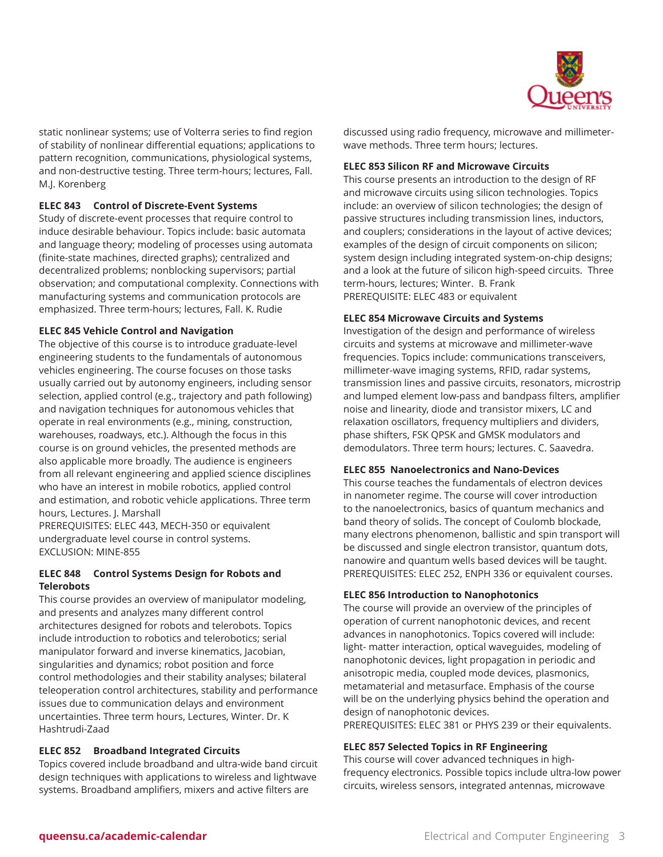

static nonlinear systems; use of Volterra series to find region of stability of nonlinear differential equations; applications to pattern recognition, communications, physiological systems, and non-destructive testing. Three term-hours; lectures, Fall. M.J. Korenberg

# **ELEC 843 Control of Discrete-Event Systems**

Study of discrete-event processes that require control to induce desirable behaviour. Topics include: basic automata and language theory; modeling of processes using automata (finite-state machines, directed graphs); centralized and decentralized problems; nonblocking supervisors; partial observation; and computational complexity. Connections with manufacturing systems and communication protocols are emphasized. Three term-hours; lectures, Fall. K. Rudie

# **ELEC 845 Vehicle Control and Navigation**

The objective of this course is to introduce graduate-level engineering students to the fundamentals of autonomous vehicles engineering. The course focuses on those tasks usually carried out by autonomy engineers, including sensor selection, applied control (e.g., trajectory and path following) and navigation techniques for autonomous vehicles that operate in real environments (e.g., mining, construction, warehouses, roadways, etc.). Although the focus in this course is on ground vehicles, the presented methods are also applicable more broadly. The audience is engineers from all relevant engineering and applied science disciplines who have an interest in mobile robotics, applied control and estimation, and robotic vehicle applications. Three term hours, Lectures. J. Marshall

PREREQUISITES: ELEC 443, MECH-350 or equivalent undergraduate level course in control systems. EXCLUSION: MINE-855

# **ELEC 848 Control Systems Design for Robots and Telerobots**

This course provides an overview of manipulator modeling, and presents and analyzes many different control architectures designed for robots and telerobots. Topics include introduction to robotics and telerobotics; serial manipulator forward and inverse kinematics, Jacobian, singularities and dynamics; robot position and force control methodologies and their stability analyses; bilateral teleoperation control architectures, stability and performance issues due to communication delays and environment uncertainties. Three term hours, Lectures, Winter. Dr. K Hashtrudi-Zaad

# **ELEC 852 Broadband Integrated Circuits**

Topics covered include broadband and ultra-wide band circuit design techniques with applications to wireless and lightwave systems. Broadband amplifiers, mixers and active filters are

discussed using radio frequency, microwave and millimeterwave methods. Three term hours; lectures.

# **ELEC 853 Silicon RF and Microwave Circuits**

This course presents an introduction to the design of RF and microwave circuits using silicon technologies. Topics include: an overview of silicon technologies; the design of passive structures including transmission lines, inductors, and couplers; considerations in the layout of active devices; examples of the design of circuit components on silicon; system design including integrated system-on-chip designs; and a look at the future of silicon high-speed circuits. Three term-hours, lectures; Winter. B. Frank PREREQUISITE: ELEC 483 or equivalent

# **ELEC 854 Microwave Circuits and Systems**

Investigation of the design and performance of wireless circuits and systems at microwave and millimeter-wave frequencies. Topics include: communications transceivers, millimeter-wave imaging systems, RFID, radar systems, transmission lines and passive circuits, resonators, microstrip and lumped element low-pass and bandpass filters, amplifier noise and linearity, diode and transistor mixers, LC and relaxation oscillators, frequency multipliers and dividers, phase shifters, FSK QPSK and GMSK modulators and demodulators. Three term hours; lectures. C. Saavedra.

# **ELEC 855 Nanoelectronics and Nano-Devices**

This course teaches the fundamentals of electron devices in nanometer regime. The course will cover introduction to the nanoelectronics, basics of quantum mechanics and band theory of solids. The concept of Coulomb blockade, many electrons phenomenon, ballistic and spin transport will be discussed and single electron transistor, quantum dots, nanowire and quantum wells based devices will be taught. PREREQUISITES: ELEC 252, ENPH 336 or equivalent courses.

# **ELEC 856 Introduction to Nanophotonics**

The course will provide an overview of the principles of operation of current nanophotonic devices, and recent advances in nanophotonics. Topics covered will include: light- matter interaction, optical waveguides, modeling of nanophotonic devices, light propagation in periodic and anisotropic media, coupled mode devices, plasmonics, metamaterial and metasurface. Emphasis of the course will be on the underlying physics behind the operation and design of nanophotonic devices. PREREQUISITES: ELEC 381 or PHYS 239 or their equivalents.

# **ELEC 857 Selected Topics in RF Engineering**

This course will cover advanced techniques in highfrequency electronics. Possible topics include ultra-low power circuits, wireless sensors, integrated antennas, microwave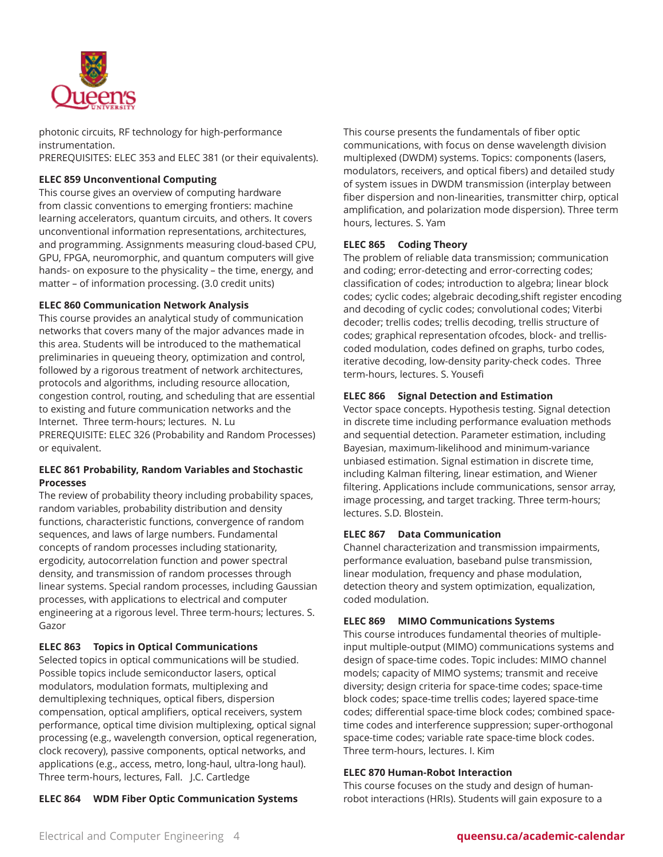

photonic circuits, RF technology for high-performance instrumentation.

PREREQUISITES: ELEC 353 and ELEC 381 (or their equivalents).

# **ELEC 859 Unconventional Computing**

This course gives an overview of computing hardware from classic conventions to emerging frontiers: machine learning accelerators, quantum circuits, and others. It covers unconventional information representations, architectures, and programming. Assignments measuring cloud-based CPU, GPU, FPGA, neuromorphic, and quantum computers will give hands- on exposure to the physicality – the time, energy, and matter – of information processing. (3.0 credit units)

# **ELEC 860 Communication Network Analysis**

This course provides an analytical study of communication networks that covers many of the major advances made in this area. Students will be introduced to the mathematical preliminaries in queueing theory, optimization and control, followed by a rigorous treatment of network architectures, protocols and algorithms, including resource allocation, congestion control, routing, and scheduling that are essential to existing and future communication networks and the Internet. Three term-hours; lectures. N. Lu PREREQUISITE: ELEC 326 (Probability and Random Processes) or equivalent.

# **ELEC 861 Probability, Random Variables and Stochastic Processes**

The review of probability theory including probability spaces, random variables, probability distribution and density functions, characteristic functions, convergence of random sequences, and laws of large numbers. Fundamental concepts of random processes including stationarity, ergodicity, autocorrelation function and power spectral density, and transmission of random processes through linear systems. Special random processes, including Gaussian processes, with applications to electrical and computer engineering at a rigorous level. Three term-hours; lectures. S. Gazor

# **ELEC 863 Topics in Optical Communications**

Selected topics in optical communications will be studied. Possible topics include semiconductor lasers, optical modulators, modulation formats, multiplexing and demultiplexing techniques, optical fibers, dispersion compensation, optical amplifiers, optical receivers, system performance, optical time division multiplexing, optical signal processing (e.g., wavelength conversion, optical regeneration, clock recovery), passive components, optical networks, and applications (e.g., access, metro, long-haul, ultra-long haul). Three term-hours, lectures, Fall. J.C. Cartledge

**ELEC 864 WDM Fiber Optic Communication Systems** 

This course presents the fundamentals of fiber optic communications, with focus on dense wavelength division multiplexed (DWDM) systems. Topics: components (lasers, modulators, receivers, and optical fibers) and detailed study of system issues in DWDM transmission (interplay between fiber dispersion and non-linearities, transmitter chirp, optical amplification, and polarization mode dispersion). Three term hours, lectures. S. Yam

# **ELEC 865 Coding Theory**

The problem of reliable data transmission; communication and coding; error-detecting and error-correcting codes; classification of codes; introduction to algebra; linear block codes; cyclic codes; algebraic decoding,shift register encoding and decoding of cyclic codes; convolutional codes; Viterbi decoder; trellis codes; trellis decoding, trellis structure of codes; graphical representation ofcodes, block- and trelliscoded modulation, codes defined on graphs, turbo codes, iterative decoding, low-density parity-check codes. Three term-hours, lectures. S. Yousefi

# **ELEC 866 Signal Detection and Estimation**

Vector space concepts. Hypothesis testing. Signal detection in discrete time including performance evaluation methods and sequential detection. Parameter estimation, including Bayesian, maximum-likelihood and minimum-variance unbiased estimation. Signal estimation in discrete time, including Kalman filtering, linear estimation, and Wiener filtering. Applications include communications, sensor array, image processing, and target tracking. Three term-hours; lectures. S.D. Blostein.

# **ELEC 867 Data Communication**

Channel characterization and transmission impairments, performance evaluation, baseband pulse transmission, linear modulation, frequency and phase modulation, detection theory and system optimization, equalization, coded modulation.

# **ELEC 869 MIMO Communications Systems**

This course introduces fundamental theories of multipleinput multiple-output (MIMO) communications systems and design of space-time codes. Topic includes: MIMO channel models; capacity of MIMO systems; transmit and receive diversity; design criteria for space-time codes; space-time block codes; space-time trellis codes; layered space-time codes; differential space-time block codes; combined spacetime codes and interference suppression; super-orthogonal space-time codes; variable rate space-time block codes. Three term-hours, lectures. I. Kim

# **ELEC 870 Human-Robot Interaction**

This course focuses on the study and design of humanrobot interactions (HRIs). Students will gain exposure to a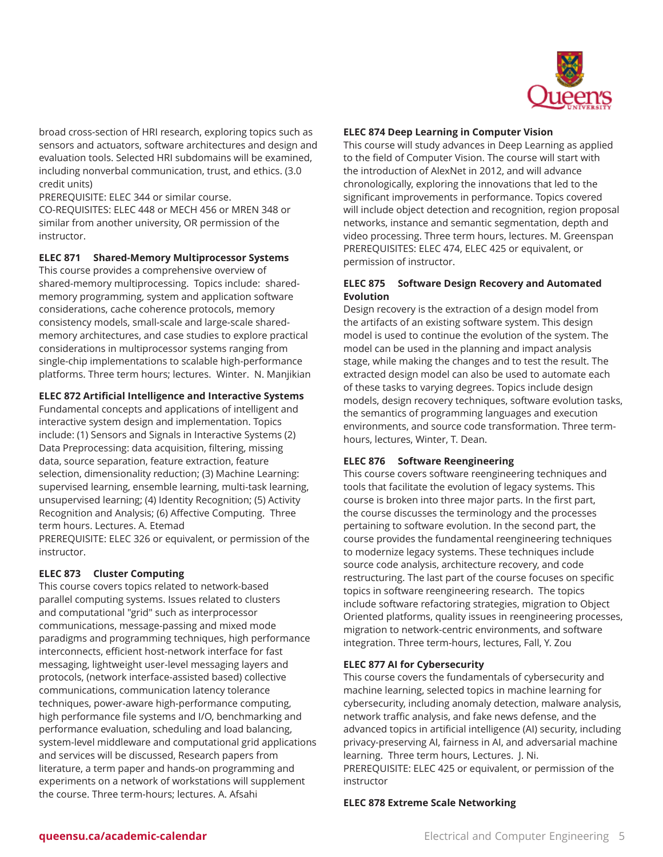

broad cross-section of HRI research, exploring topics such as sensors and actuators, software architectures and design and evaluation tools. Selected HRI subdomains will be examined, including nonverbal communication, trust, and ethics. (3.0 credit units)

PREREQUISITE: ELEC 344 or similar course.

CO-REQUISITES: ELEC 448 or MECH 456 or MREN 348 or similar from another university, OR permission of the instructor.

# **ELEC 871 Shared-Memory Multiprocessor Systems**

This course provides a comprehensive overview of shared-memory multiprocessing. Topics include: sharedmemory programming, system and application software considerations, cache coherence protocols, memory consistency models, small-scale and large-scale sharedmemory architectures, and case studies to explore practical considerations in multiprocessor systems ranging from single-chip implementations to scalable high-performance platforms. Three term hours; lectures. Winter. N. Manjikian

### **ELEC 872 Artificial Intelligence and Interactive Systems**

Fundamental concepts and applications of intelligent and interactive system design and implementation. Topics include: (1) Sensors and Signals in Interactive Systems (2) Data Preprocessing: data acquisition, filtering, missing data, source separation, feature extraction, feature selection, dimensionality reduction; (3) Machine Learning: supervised learning, ensemble learning, multi-task learning, unsupervised learning; (4) Identity Recognition; (5) Activity Recognition and Analysis; (6) Affective Computing. Three term hours. Lectures. A. Etemad PREREQUISITE: ELEC 326 or equivalent, or permission of the

instructor.

# **ELEC 873 Cluster Computing**

This course covers topics related to network-based parallel computing systems. Issues related to clusters and computational "grid" such as interprocessor communications, message-passing and mixed mode paradigms and programming techniques, high performance interconnects, efficient host-network interface for fast messaging, lightweight user-level messaging layers and protocols, (network interface-assisted based) collective communications, communication latency tolerance techniques, power-aware high-performance computing, high performance file systems and I/O, benchmarking and performance evaluation, scheduling and load balancing, system-level middleware and computational grid applications and services will be discussed, Research papers from literature, a term paper and hands-on programming and experiments on a network of workstations will supplement the course. Three term-hours; lectures. A. Afsahi

# **ELEC 874 Deep Learning in Computer Vision**

This course will study advances in Deep Learning as applied to the field of Computer Vision. The course will start with the introduction of AlexNet in 2012, and will advance chronologically, exploring the innovations that led to the significant improvements in performance. Topics covered will include object detection and recognition, region proposal networks, instance and semantic segmentation, depth and video processing. Three term hours, lectures. M. Greenspan PREREQUISITES: ELEC 474, ELEC 425 or equivalent, or permission of instructor.

# **ELEC 875 Software Design Recovery and Automated Evolution**

Design recovery is the extraction of a design model from the artifacts of an existing software system. This design model is used to continue the evolution of the system. The model can be used in the planning and impact analysis stage, while making the changes and to test the result. The extracted design model can also be used to automate each of these tasks to varying degrees. Topics include design models, design recovery techniques, software evolution tasks, the semantics of programming languages and execution environments, and source code transformation. Three termhours, lectures, Winter, T. Dean.

# **ELEC 876 Software Reengineering**

This course covers software reengineering techniques and tools that facilitate the evolution of legacy systems. This course is broken into three major parts. In the first part, the course discusses the terminology and the processes pertaining to software evolution. In the second part, the course provides the fundamental reengineering techniques to modernize legacy systems. These techniques include source code analysis, architecture recovery, and code restructuring. The last part of the course focuses on specific topics in software reengineering research. The topics include software refactoring strategies, migration to Object Oriented platforms, quality issues in reengineering processes, migration to network-centric environments, and software integration. Three term-hours, lectures, Fall, Y. Zou

### **ELEC 877 AI for Cybersecurity**

This course covers the fundamentals of cybersecurity and machine learning, selected topics in machine learning for cybersecurity, including anomaly detection, malware analysis, network traffic analysis, and fake news defense, and the advanced topics in artificial intelligence (AI) security, including privacy-preserving AI, fairness in AI, and adversarial machine learning. Three term hours, Lectures. J. Ni. PREREQUISITE: ELEC 425 or equivalent, or permission of the instructor

## **ELEC 878 Extreme Scale Networking**